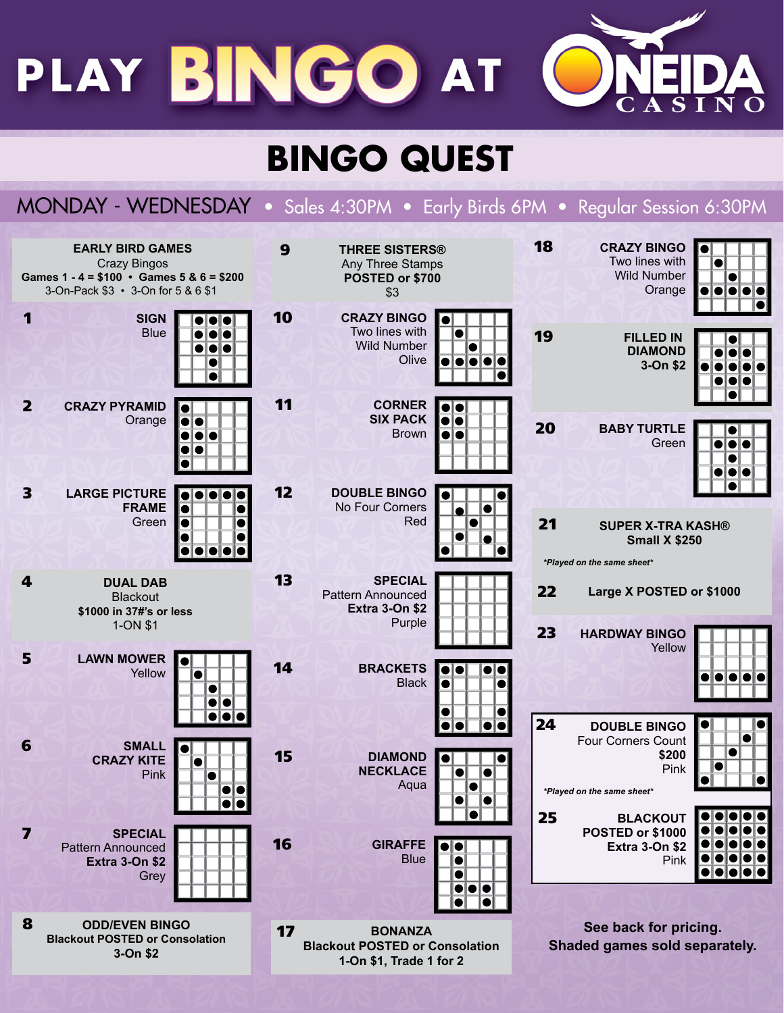PLAY BINGO AT

## **BINGO QUEST**